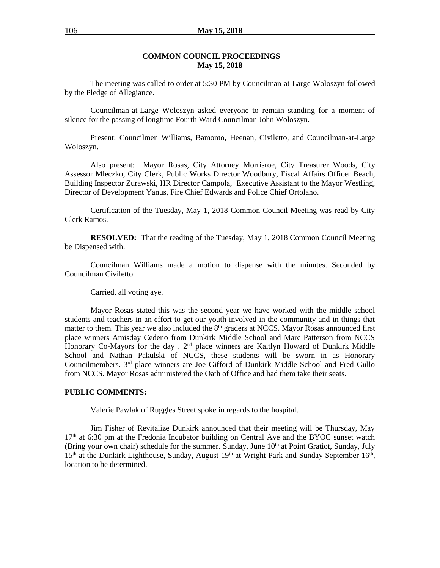#### **COMMON COUNCIL PROCEEDINGS May 15, 2018**

The meeting was called to order at 5:30 PM by Councilman-at-Large Woloszyn followed by the Pledge of Allegiance.

Councilman-at-Large Woloszyn asked everyone to remain standing for a moment of silence for the passing of longtime Fourth Ward Councilman John Woloszyn.

Present: Councilmen Williams, Bamonto, Heenan, Civiletto, and Councilman-at-Large Woloszyn.

Also present: Mayor Rosas, City Attorney Morrisroe, City Treasurer Woods, City Assessor Mleczko, City Clerk, Public Works Director Woodbury, Fiscal Affairs Officer Beach, Building Inspector Zurawski, HR Director Campola, Executive Assistant to the Mayor Westling, Director of Development Yanus, Fire Chief Edwards and Police Chief Ortolano.

Certification of the Tuesday, May 1, 2018 Common Council Meeting was read by City Clerk Ramos.

**RESOLVED:** That the reading of the Tuesday, May 1, 2018 Common Council Meeting be Dispensed with.

Councilman Williams made a motion to dispense with the minutes. Seconded by Councilman Civiletto.

Carried, all voting aye.

Mayor Rosas stated this was the second year we have worked with the middle school students and teachers in an effort to get our youth involved in the community and in things that matter to them. This year we also included the  $8<sup>th</sup>$  graders at NCCS. Mayor Rosas announced first place winners Amisday Cedeno from Dunkirk Middle School and Marc Patterson from NCCS Honorary Co-Mayors for the day . 2<sup>nd</sup> place winners are Kaitlyn Howard of Dunkirk Middle School and Nathan Pakulski of NCCS, these students will be sworn in as Honorary Councilmembers. 3<sup>rd</sup> place winners are Joe Gifford of Dunkirk Middle School and Fred Gullo from NCCS. Mayor Rosas administered the Oath of Office and had them take their seats.

#### **PUBLIC COMMENTS:**

Valerie Pawlak of Ruggles Street spoke in regards to the hospital.

Jim Fisher of Revitalize Dunkirk announced that their meeting will be Thursday, May 17<sup>th</sup> at 6:30 pm at the Fredonia Incubator building on Central Ave and the BYOC sunset watch (Bring your own chair) schedule for the summer. Sunday, June 10<sup>th</sup> at Point Gratiot, Sunday, July  $15<sup>th</sup>$  at the Dunkirk Lighthouse, Sunday, August  $19<sup>th</sup>$  at Wright Park and Sunday September  $16<sup>th</sup>$ , location to be determined.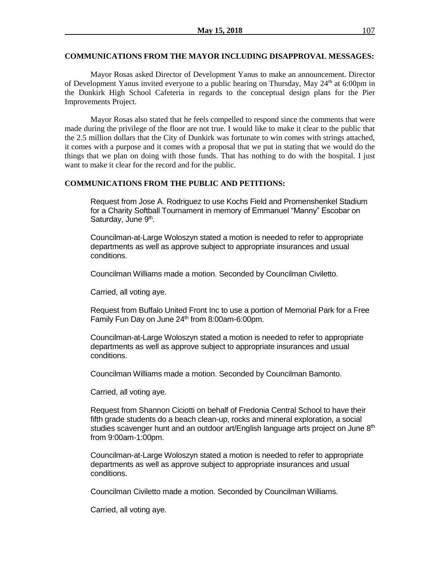#### **COMMUNICATIONS FROM THE MAYOR INCLUDING DISAPPROVAL MESSAGES:**

Mayor Rosas asked Director of Development Yanus to make an announcement. Director of Development Yanus invited everyone to a public hearing on Thursday, May  $24<sup>th</sup>$  at 6:00pm in the Dunkirk High School Cafeteria in regards to the conceptual design plans for the Pier Improvements Project.

Mayor Rosas also stated that he feels compelled to respond since the comments that were made during the privilege of the floor are not true. I would like to make it clear to the public that the 2.5 million dollars that the City of Dunkirk was fortunate to win comes with strings attached, it comes with a purpose and it comes with a proposal that we put in stating that we would do the things that we plan on doing with those funds. That has nothing to do with the hospital. I just want to make it clear for the record and for the public.

#### **COMMUNICATIONS FROM THE PUBLIC AND PETITIONS:**

Request from Jose A. Rodriguez to use Kochs Field and Promenshenkel Stadium for a Charity Softball Tournament in memory of Emmanuel "Manny" Escobar on Saturday, June 9<sup>th</sup>.

Councilman-at-Large Woloszyn stated a motion is needed to refer to appropriate departments as well as approve subject to appropriate insurances and usual conditions.

Councilman Williams made a motion. Seconded by Councilman Civiletto.

Carried, all voting aye.

Request from Buffalo United Front Inc to use a portion of Memorial Park for a Free Family Fun Day on June 24<sup>th</sup> from 8:00am-6:00pm.

Councilman-at-Large Woloszyn stated a motion is needed to refer to appropriate departments as well as approve subject to appropriate insurances and usual conditions.

Councilman Williams made a motion. Seconded by Councilman Bamonto.

Carried, all voting aye.

Request from Shannon Ciciotti on behalf of Fredonia Central School to have their fifth grade students do a beach clean-up, rocks and mineral exploration, a social studies scavenger hunt and an outdoor art/English language arts project on June  $8<sup>th</sup>$ from 9:00am-1:00pm.

Councilman-at-Large Woloszyn stated a motion is needed to refer to appropriate departments as well as approve subject to appropriate insurances and usual conditions.

Councilman Civiletto made a motion. Seconded by Councilman Williams.

Carried, all voting aye.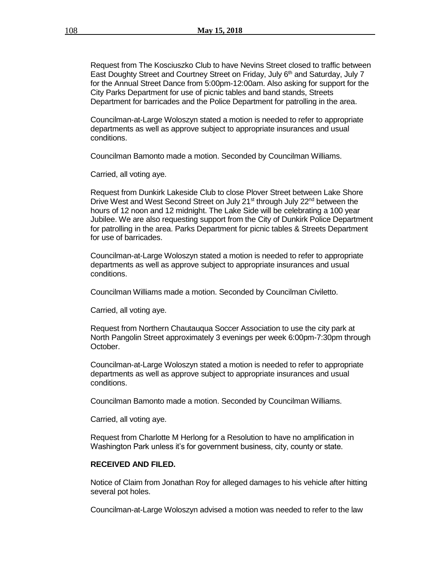Request from The Kosciuszko Club to have Nevins Street closed to traffic between East Doughty Street and Courtney Street on Friday, July  $6<sup>th</sup>$  and Saturday, July 7 for the Annual Street Dance from 5:00pm-12:00am. Also asking for support for the City Parks Department for use of picnic tables and band stands, Streets Department for barricades and the Police Department for patrolling in the area.

Councilman-at-Large Woloszyn stated a motion is needed to refer to appropriate departments as well as approve subject to appropriate insurances and usual conditions.

Councilman Bamonto made a motion. Seconded by Councilman Williams.

Carried, all voting aye.

Request from Dunkirk Lakeside Club to close Plover Street between Lake Shore Drive West and West Second Street on July 21<sup>st</sup> through July 22<sup>nd</sup> between the hours of 12 noon and 12 midnight. The Lake Side will be celebrating a 100 year Jubilee. We are also requesting support from the City of Dunkirk Police Department for patrolling in the area. Parks Department for picnic tables & Streets Department for use of barricades.

Councilman-at-Large Woloszyn stated a motion is needed to refer to appropriate departments as well as approve subject to appropriate insurances and usual conditions.

Councilman Williams made a motion. Seconded by Councilman Civiletto.

Carried, all voting aye.

Request from Northern Chautauqua Soccer Association to use the city park at North Pangolin Street approximately 3 evenings per week 6:00pm-7:30pm through October.

Councilman-at-Large Woloszyn stated a motion is needed to refer to appropriate departments as well as approve subject to appropriate insurances and usual conditions.

Councilman Bamonto made a motion. Seconded by Councilman Williams.

Carried, all voting aye.

Request from Charlotte M Herlong for a Resolution to have no amplification in Washington Park unless it's for government business, city, county or state.

#### **RECEIVED AND FILED.**

Notice of Claim from Jonathan Roy for alleged damages to his vehicle after hitting several pot holes.

Councilman-at-Large Woloszyn advised a motion was needed to refer to the law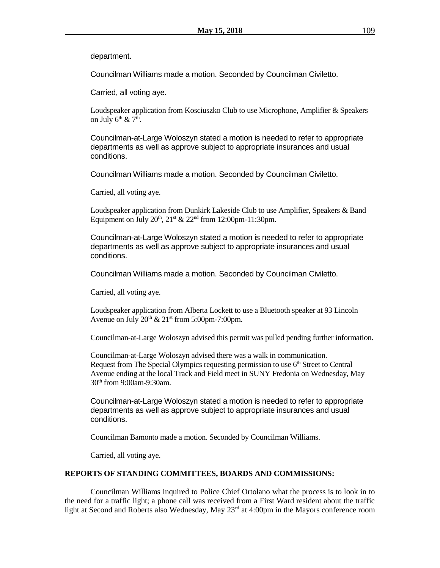department.

Councilman Williams made a motion. Seconded by Councilman Civiletto.

Carried, all voting aye.

Loudspeaker application from Kosciuszko Club to use Microphone, Amplifier & Speakers on July  $6^{\text{th}}$  &  $7^{\text{th}}$ .

Councilman-at-Large Woloszyn stated a motion is needed to refer to appropriate departments as well as approve subject to appropriate insurances and usual conditions.

Councilman Williams made a motion. Seconded by Councilman Civiletto.

Carried, all voting aye.

Loudspeaker application from Dunkirk Lakeside Club to use Amplifier, Speakers & Band Equipment on July  $20^{th}$ ,  $21^{st}$  &  $22^{nd}$  from 12:00pm-11:30pm.

Councilman-at-Large Woloszyn stated a motion is needed to refer to appropriate departments as well as approve subject to appropriate insurances and usual conditions.

Councilman Williams made a motion. Seconded by Councilman Civiletto.

Carried, all voting aye.

Loudspeaker application from Alberta Lockett to use a Bluetooth speaker at 93 Lincoln Avenue on July  $20^{th}$  &  $21^{st}$  from 5:00pm-7:00pm.

Councilman-at-Large Woloszyn advised this permit was pulled pending further information.

Councilman-at-Large Woloszyn advised there was a walk in communication. Request from The Special Olympics requesting permission to use  $6<sup>th</sup>$  Street to Central Avenue ending at the local Track and Field meet in SUNY Fredonia on Wednesday, May 30th from 9:00am-9:30am.

Councilman-at-Large Woloszyn stated a motion is needed to refer to appropriate departments as well as approve subject to appropriate insurances and usual conditions.

Councilman Bamonto made a motion. Seconded by Councilman Williams.

Carried, all voting aye.

#### **REPORTS OF STANDING COMMITTEES, BOARDS AND COMMISSIONS:**

Councilman Williams inquired to Police Chief Ortolano what the process is to look in to the need for a traffic light; a phone call was received from a First Ward resident about the traffic light at Second and Roberts also Wednesday, May 23rd at 4:00pm in the Mayors conference room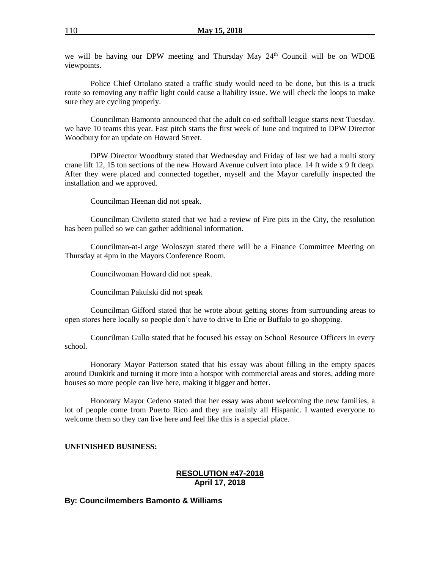we will be having our DPW meeting and Thursday May 24<sup>th</sup> Council will be on WDOE viewpoints.

Police Chief Ortolano stated a traffic study would need to be done, but this is a truck route so removing any traffic light could cause a liability issue. We will check the loops to make sure they are cycling properly.

Councilman Bamonto announced that the adult co-ed softball league starts next Tuesday. we have 10 teams this year. Fast pitch starts the first week of June and inquired to DPW Director Woodbury for an update on Howard Street.

DPW Director Woodbury stated that Wednesday and Friday of last we had a multi story crane lift 12, 15 ton sections of the new Howard Avenue culvert into place. 14 ft wide x 9 ft deep. After they were placed and connected together, myself and the Mayor carefully inspected the installation and we approved.

Councilman Heenan did not speak.

Councilman Civiletto stated that we had a review of Fire pits in the City, the resolution has been pulled so we can gather additional information.

Councilman-at-Large Woloszyn stated there will be a Finance Committee Meeting on Thursday at 4pm in the Mayors Conference Room.

Councilwoman Howard did not speak.

Councilman Pakulski did not speak

Councilman Gifford stated that he wrote about getting stores from surrounding areas to open stores here locally so people don't have to drive to Erie or Buffalo to go shopping.

Councilman Gullo stated that he focused his essay on School Resource Officers in every school.

Honorary Mayor Patterson stated that his essay was about filling in the empty spaces around Dunkirk and turning it more into a hotspot with commercial areas and stores, adding more houses so more people can live here, making it bigger and better.

Honorary Mayor Cedeno stated that her essay was about welcoming the new families, a lot of people come from Puerto Rico and they are mainly all Hispanic. I wanted everyone to welcome them so they can live here and feel like this is a special place.

#### **UNFINISHED BUSINESS:**

#### **RESOLUTION #47-2018 April 17, 2018**

#### **By: Councilmembers Bamonto & Williams**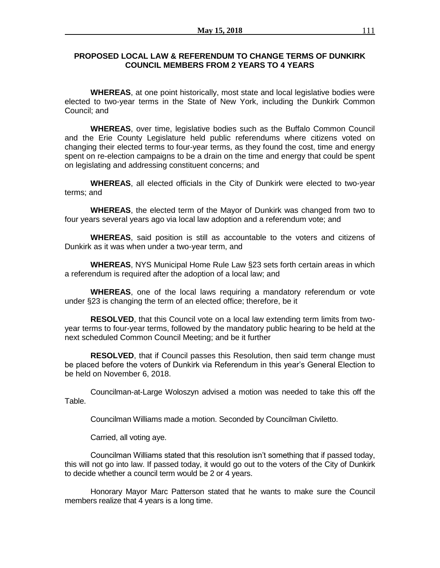### **PROPOSED LOCAL LAW & REFERENDUM TO CHANGE TERMS OF DUNKIRK COUNCIL MEMBERS FROM 2 YEARS TO 4 YEARS**

**WHEREAS**, at one point historically, most state and local legislative bodies were elected to two-year terms in the State of New York, including the Dunkirk Common Council; and

**WHEREAS**, over time, legislative bodies such as the Buffalo Common Council and the Erie County Legislature held public referendums where citizens voted on changing their elected terms to four-year terms, as they found the cost, time and energy spent on re-election campaigns to be a drain on the time and energy that could be spent on legislating and addressing constituent concerns; and

**WHEREAS**, all elected officials in the City of Dunkirk were elected to two-year terms; and

**WHEREAS**, the elected term of the Mayor of Dunkirk was changed from two to four years several years ago via local law adoption and a referendum vote; and

**WHEREAS**, said position is still as accountable to the voters and citizens of Dunkirk as it was when under a two-year term, and

**WHEREAS**, NYS Municipal Home Rule Law §23 sets forth certain areas in which a referendum is required after the adoption of a local law; and

**WHEREAS**, one of the local laws requiring a mandatory referendum or vote under §23 is changing the term of an elected office; therefore, be it

**RESOLVED**, that this Council vote on a local law extending term limits from twoyear terms to four-year terms, followed by the mandatory public hearing to be held at the next scheduled Common Council Meeting; and be it further

**RESOLVED**, that if Council passes this Resolution, then said term change must be placed before the voters of Dunkirk via Referendum in this year's General Election to be held on November 6, 2018.

Councilman-at-Large Woloszyn advised a motion was needed to take this off the Table.

Councilman Williams made a motion. Seconded by Councilman Civiletto.

Carried, all voting aye.

Councilman Williams stated that this resolution isn't something that if passed today, this will not go into law. If passed today, it would go out to the voters of the City of Dunkirk to decide whether a council term would be 2 or 4 years.

Honorary Mayor Marc Patterson stated that he wants to make sure the Council members realize that 4 years is a long time.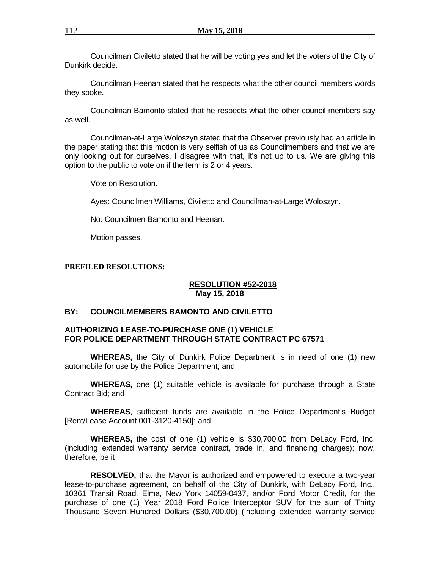Councilman Civiletto stated that he will be voting yes and let the voters of the City of Dunkirk decide.

Councilman Heenan stated that he respects what the other council members words they spoke.

Councilman Bamonto stated that he respects what the other council members say as well.

Councilman-at-Large Woloszyn stated that the Observer previously had an article in the paper stating that this motion is very selfish of us as Councilmembers and that we are only looking out for ourselves. I disagree with that, it's not up to us. We are giving this option to the public to vote on if the term is 2 or 4 years.

Vote on Resolution.

Ayes: Councilmen Williams, Civiletto and Councilman-at-Large Woloszyn.

No: Councilmen Bamonto and Heenan.

Motion passes.

#### **PREFILED RESOLUTIONS:**

#### **RESOLUTION #52-2018 May 15, 2018**

### **BY: COUNCILMEMBERS BAMONTO AND CIVILETTO**

### **AUTHORIZING LEASE-TO-PURCHASE ONE (1) VEHICLE FOR POLICE DEPARTMENT THROUGH STATE CONTRACT PC 67571**

**WHEREAS,** the City of Dunkirk Police Department is in need of one (1) new automobile for use by the Police Department; and

**WHEREAS,** one (1) suitable vehicle is available for purchase through a State Contract Bid; and

**WHEREAS**, sufficient funds are available in the Police Department's Budget [Rent/Lease Account 001-3120-4150]; and

**WHEREAS,** the cost of one (1) vehicle is \$30,700.00 from DeLacy Ford, Inc. (including extended warranty service contract, trade in, and financing charges); now, therefore, be it

**RESOLVED,** that the Mayor is authorized and empowered to execute a two-year lease-to-purchase agreement, on behalf of the City of Dunkirk, with DeLacy Ford, Inc., 10361 Transit Road, Elma, New York 14059-0437, and/or Ford Motor Credit, for the purchase of one (1) Year 2018 Ford Police Interceptor SUV for the sum of Thirty Thousand Seven Hundred Dollars (\$30,700.00) (including extended warranty service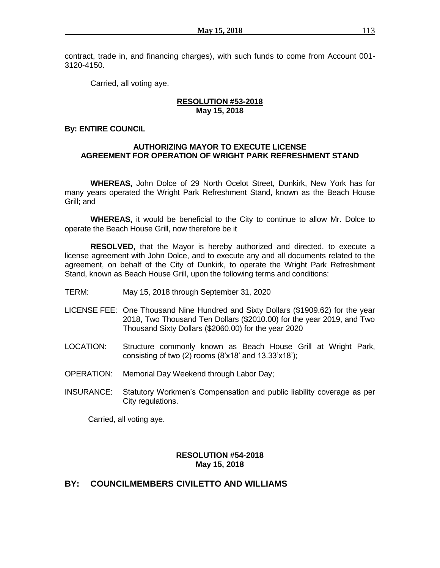contract, trade in, and financing charges), with such funds to come from Account 001- 3120-4150.

Carried, all voting aye.

### **RESOLUTION #53-2018 May 15, 2018**

### **By: ENTIRE COUNCIL**

### **AUTHORIZING MAYOR TO EXECUTE LICENSE AGREEMENT FOR OPERATION OF WRIGHT PARK REFRESHMENT STAND**

**WHEREAS,** John Dolce of 29 North Ocelot Street, Dunkirk, New York has for many years operated the Wright Park Refreshment Stand, known as the Beach House Grill; and

**WHEREAS,** it would be beneficial to the City to continue to allow Mr. Dolce to operate the Beach House Grill, now therefore be it

**RESOLVED,** that the Mayor is hereby authorized and directed, to execute a license agreement with John Dolce, and to execute any and all documents related to the agreement, on behalf of the City of Dunkirk, to operate the Wright Park Refreshment Stand, known as Beach House Grill, upon the following terms and conditions:

- TERM: May 15, 2018 through September 31, 2020
- LICENSE FEE: One Thousand Nine Hundred and Sixty Dollars (\$1909.62) for the year 2018, Two Thousand Ten Dollars (\$2010.00) for the year 2019, and Two Thousand Sixty Dollars (\$2060.00) for the year 2020
- LOCATION: Structure commonly known as Beach House Grill at Wright Park, consisting of two  $(2)$  rooms  $(8 \times 18)$  and  $13.33 \times 18$ ;
- OPERATION: Memorial Day Weekend through Labor Day;
- INSURANCE: Statutory Workmen's Compensation and public liability coverage as per City regulations.

Carried, all voting aye.

### **RESOLUTION #54-2018 May 15, 2018**

## **BY: COUNCILMEMBERS CIVILETTO AND WILLIAMS**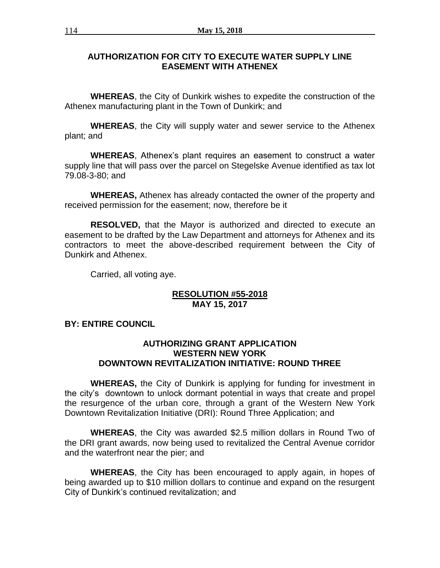# **AUTHORIZATION FOR CITY TO EXECUTE WATER SUPPLY LINE EASEMENT WITH ATHENEX**

**WHEREAS**, the City of Dunkirk wishes to expedite the construction of the Athenex manufacturing plant in the Town of Dunkirk; and

**WHEREAS**, the City will supply water and sewer service to the Athenex plant; and

**WHEREAS**, Athenex's plant requires an easement to construct a water supply line that will pass over the parcel on Stegelske Avenue identified as tax lot 79.08-3-80; and

**WHEREAS,** Athenex has already contacted the owner of the property and received permission for the easement; now, therefore be it

**RESOLVED,** that the Mayor is authorized and directed to execute an easement to be drafted by the Law Department and attorneys for Athenex and its contractors to meet the above-described requirement between the City of Dunkirk and Athenex.

Carried, all voting aye.

## **RESOLUTION #55-2018 MAY 15, 2017**

# **BY: ENTIRE COUNCIL**

## **AUTHORIZING GRANT APPLICATION WESTERN NEW YORK DOWNTOWN REVITALIZATION INITIATIVE: ROUND THREE**

**WHEREAS,** the City of Dunkirk is applying for funding for investment in the city's downtown to unlock dormant potential in ways that create and propel the resurgence of the urban core, through a grant of the Western New York Downtown Revitalization Initiative (DRI): Round Three Application; and

**WHEREAS**, the City was awarded \$2.5 million dollars in Round Two of the DRI grant awards, now being used to revitalized the Central Avenue corridor and the waterfront near the pier; and

**WHEREAS**, the City has been encouraged to apply again, in hopes of being awarded up to \$10 million dollars to continue and expand on the resurgent City of Dunkirk's continued revitalization; and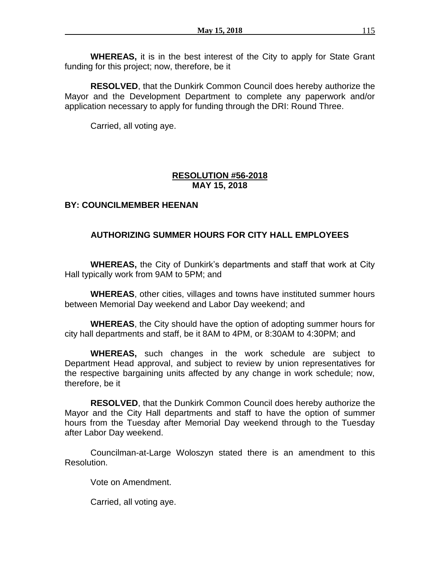**WHEREAS,** it is in the best interest of the City to apply for State Grant funding for this project; now, therefore, be it

**RESOLVED**, that the Dunkirk Common Council does hereby authorize the Mayor and the Development Department to complete any paperwork and/or application necessary to apply for funding through the DRI: Round Three.

Carried, all voting aye.

# **RESOLUTION #56-2018 MAY 15, 2018**

# **BY: COUNCILMEMBER HEENAN**

# **AUTHORIZING SUMMER HOURS FOR CITY HALL EMPLOYEES**

**WHEREAS,** the City of Dunkirk's departments and staff that work at City Hall typically work from 9AM to 5PM; and

**WHEREAS**, other cities, villages and towns have instituted summer hours between Memorial Day weekend and Labor Day weekend; and

**WHEREAS**, the City should have the option of adopting summer hours for city hall departments and staff, be it 8AM to 4PM, or 8:30AM to 4:30PM; and

**WHEREAS,** such changes in the work schedule are subject to Department Head approval, and subject to review by union representatives for the respective bargaining units affected by any change in work schedule; now, therefore, be it

**RESOLVED**, that the Dunkirk Common Council does hereby authorize the Mayor and the City Hall departments and staff to have the option of summer hours from the Tuesday after Memorial Day weekend through to the Tuesday after Labor Day weekend.

Councilman-at-Large Woloszyn stated there is an amendment to this Resolution.

Vote on Amendment.

Carried, all voting aye.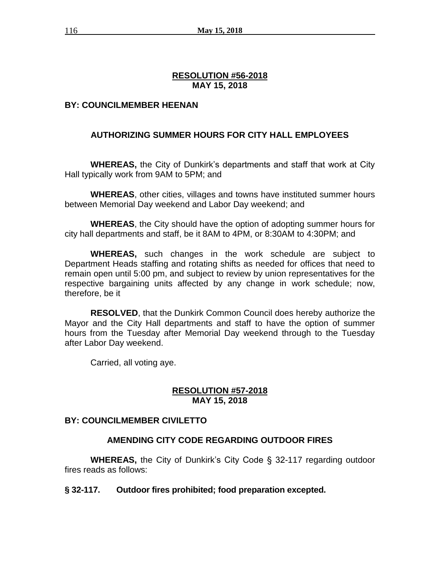# **RESOLUTION #56-2018 MAY 15, 2018**

# **BY: COUNCILMEMBER HEENAN**

# **AUTHORIZING SUMMER HOURS FOR CITY HALL EMPLOYEES**

**WHEREAS,** the City of Dunkirk's departments and staff that work at City Hall typically work from 9AM to 5PM; and

**WHEREAS**, other cities, villages and towns have instituted summer hours between Memorial Day weekend and Labor Day weekend; and

**WHEREAS**, the City should have the option of adopting summer hours for city hall departments and staff, be it 8AM to 4PM, or 8:30AM to 4:30PM; and

**WHEREAS,** such changes in the work schedule are subject to Department Heads staffing and rotating shifts as needed for offices that need to remain open until 5:00 pm, and subject to review by union representatives for the respective bargaining units affected by any change in work schedule; now, therefore, be it

**RESOLVED**, that the Dunkirk Common Council does hereby authorize the Mayor and the City Hall departments and staff to have the option of summer hours from the Tuesday after Memorial Day weekend through to the Tuesday after Labor Day weekend.

Carried, all voting aye.

## **RESOLUTION #57-2018 MAY 15, 2018**

## **BY: COUNCILMEMBER CIVILETTO**

# **AMENDING CITY CODE REGARDING OUTDOOR FIRES**

**WHEREAS,** the City of Dunkirk's City Code § 32-117 regarding outdoor fires reads as follows:

## **§ 32-117. Outdoor fires prohibited; food preparation excepted.**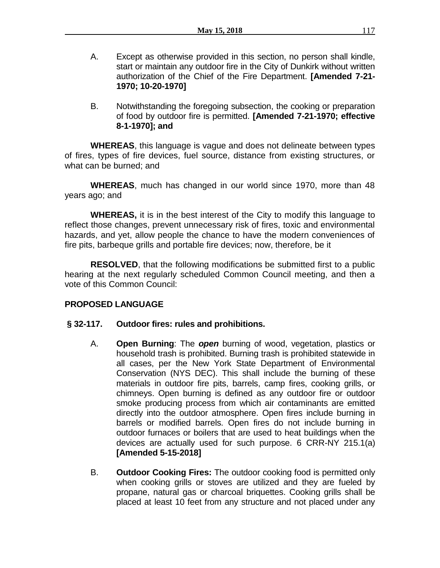- A. Except as otherwise provided in this section, no person shall kindle, start or maintain any outdoor fire in the City of Dunkirk without written authorization of the Chief of the Fire Department. **[Amended 7-21- 1970; 10-20-1970]**
- B. Notwithstanding the foregoing subsection, the cooking or preparation of food by outdoor fire is permitted. **[Amended 7-21-1970; effective 8-1-1970]; and**

**WHEREAS**, this language is vague and does not delineate between types of fires, types of fire devices, fuel source, distance from existing structures, or what can be burned; and

**WHEREAS**, much has changed in our world since 1970, more than 48 years ago; and

**WHEREAS,** it is in the best interest of the City to modify this language to reflect those changes, prevent unnecessary risk of fires, toxic and environmental hazards, and yet, allow people the chance to have the modern conveniences of fire pits, barbeque grills and portable fire devices; now, therefore, be it

**RESOLVED**, that the following modifications be submitted first to a public hearing at the next regularly scheduled Common Council meeting, and then a vote of this Common Council:

# **PROPOSED LANGUAGE**

# **§ 32-117. Outdoor fires: rules and prohibitions.**

- A. **Open Burning**: The *open* burning of wood, vegetation, plastics or household trash is prohibited. Burning trash is prohibited statewide in all cases, per the New York State Department of Environmental Conservation (NYS DEC). This shall include the burning of these materials in outdoor fire pits, barrels, camp fires, cooking grills, or chimneys. Open burning is defined as any outdoor fire or outdoor smoke producing process from which air contaminants are emitted directly into the outdoor atmosphere. Open fires include burning in barrels or modified barrels. Open fires do not include burning in outdoor furnaces or boilers that are used to heat buildings when the devices are actually used for such purpose. 6 CRR-NY 215.1(a) **[Amended 5-15-2018]**
- B. **Outdoor Cooking Fires:** The outdoor cooking food is permitted only when cooking grills or stoves are utilized and they are fueled by propane, natural gas or charcoal briquettes. Cooking grills shall be placed at least 10 feet from any structure and not placed under any